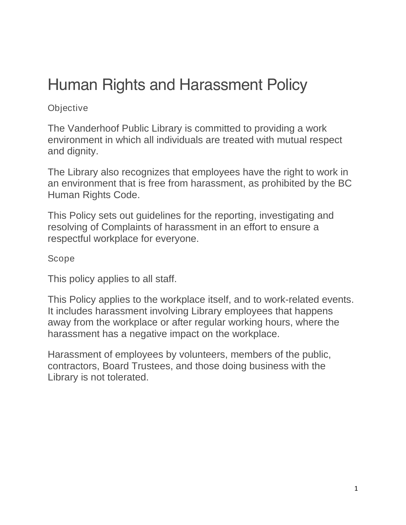# Human Rights and Harassment Policy

#### **Objective**

The Vanderhoof Public Library is committed to providing a work environment in which all individuals are treated with mutual respect and dignity.

The Library also recognizes that employees have the right to work in an environment that is free from harassment, as prohibited by the BC Human Rights Code.

This Policy sets out guidelines for the reporting, investigating and resolving of Complaints of harassment in an effort to ensure a respectful workplace for everyone.

Scope

This policy applies to all staff.

This Policy applies to the workplace itself, and to work-related events. It includes harassment involving Library employees that happens away from the workplace or after regular working hours, where the harassment has a negative impact on the workplace.

Harassment of employees by volunteers, members of the public, contractors, Board Trustees, and those doing business with the Library is not tolerated.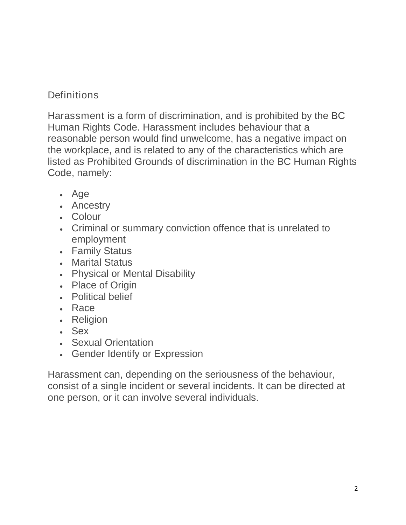## **Definitions**

Harassment is a form of discrimination, and is prohibited by the BC Human Rights Code. Harassment includes behaviour that a reasonable person would find unwelcome, has a negative impact on the workplace, and is related to any of the characteristics which are listed as Prohibited Grounds of discrimination in the BC Human Rights Code, namely:

- Age
- Ancestry
- Colour
- Criminal or summary conviction offence that is unrelated to employment
- Family Status
- Marital Status
- Physical or Mental Disability
- Place of Origin
- Political belief
- Race
- Religion
- Sex
- Sexual Orientation
- Gender Identify or Expression

Harassment can, depending on the seriousness of the behaviour, consist of a single incident or several incidents. It can be directed at one person, or it can involve several individuals.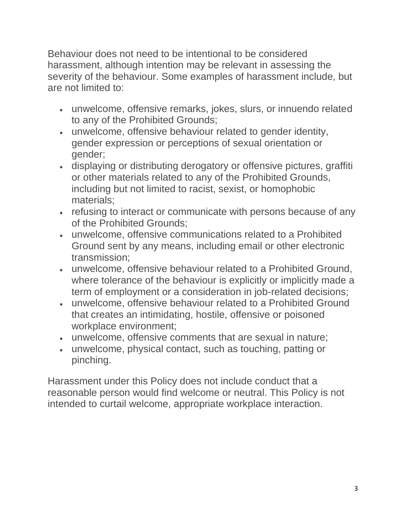Behaviour does not need to be intentional to be considered harassment, although intention may be relevant in assessing the severity of the behaviour. Some examples of harassment include, but are not limited to:

- unwelcome, offensive remarks, jokes, slurs, or innuendo related to any of the Prohibited Grounds;
- unwelcome, offensive behaviour related to gender identity, gender expression or perceptions of sexual orientation or gender;
- displaying or distributing derogatory or offensive pictures, graffiti or other materials related to any of the Prohibited Grounds, including but not limited to racist, sexist, or homophobic materials;
- refusing to interact or communicate with persons because of any of the Prohibited Grounds;
- unwelcome, offensive communications related to a Prohibited Ground sent by any means, including email or other electronic transmission;
- unwelcome, offensive behaviour related to a Prohibited Ground, where tolerance of the behaviour is explicitly or implicitly made a term of employment or a consideration in job-related decisions;
- unwelcome, offensive behaviour related to a Prohibited Ground that creates an intimidating, hostile, offensive or poisoned workplace environment;
- unwelcome, offensive comments that are sexual in nature;
- unwelcome, physical contact, such as touching, patting or pinching.

Harassment under this Policy does not include conduct that a reasonable person would find welcome or neutral. This Policy is not intended to curtail welcome, appropriate workplace interaction.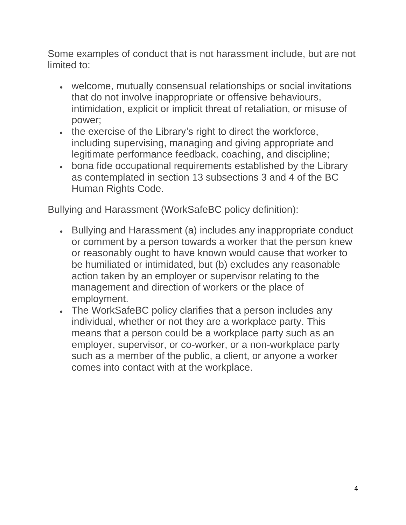Some examples of conduct that is not harassment include, but are not limited to:

- welcome, mutually consensual relationships or social invitations that do not involve inappropriate or offensive behaviours, intimidation, explicit or implicit threat of retaliation, or misuse of power;
- the exercise of the Library's right to direct the workforce, including supervising, managing and giving appropriate and legitimate performance feedback, coaching, and discipline;
- bona fide occupational requirements established by the Library as contemplated in section 13 subsections 3 and 4 of the BC Human Rights Code.

Bullying and Harassment (WorkSafeBC policy definition):

- Bullying and Harassment (a) includes any inappropriate conduct or comment by a person towards a worker that the person knew or reasonably ought to have known would cause that worker to be humiliated or intimidated, but (b) excludes any reasonable action taken by an employer or supervisor relating to the management and direction of workers or the place of employment.
- The WorkSafeBC policy clarifies that a person includes any individual, whether or not they are a workplace party. This means that a person could be a workplace party such as an employer, supervisor, or co-worker, or a non-workplace party such as a member of the public, a client, or anyone a worker comes into contact with at the workplace.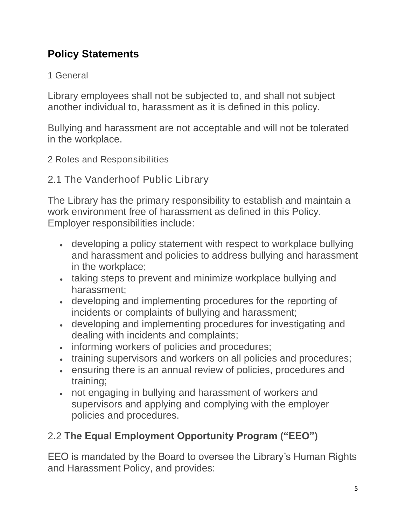# **Policy Statements**

### 1 General

Library employees shall not be subjected to, and shall not subject another individual to, harassment as it is defined in this policy.

Bullying and harassment are not acceptable and will not be tolerated in the workplace.

2 Roles and Responsibilities

2.1 The Vanderhoof Public Library

The Library has the primary responsibility to establish and maintain a work environment free of harassment as defined in this Policy. Employer responsibilities include:

- developing a policy statement with respect to workplace bullying and harassment and policies to address bullying and harassment in the workplace;
- taking steps to prevent and minimize workplace bullying and harassment;
- developing and implementing procedures for the reporting of incidents or complaints of bullying and harassment;
- developing and implementing procedures for investigating and dealing with incidents and complaints;
- informing workers of policies and procedures;
- training supervisors and workers on all policies and procedures;
- ensuring there is an annual review of policies, procedures and training;
- not engaging in bullying and harassment of workers and supervisors and applying and complying with the employer policies and procedures.

# 2.2 The Equal Employment Opportunity Program ("EEO")

EEO is mandated by the Board to oversee the Library's Human Rights and Harassment Policy, and provides: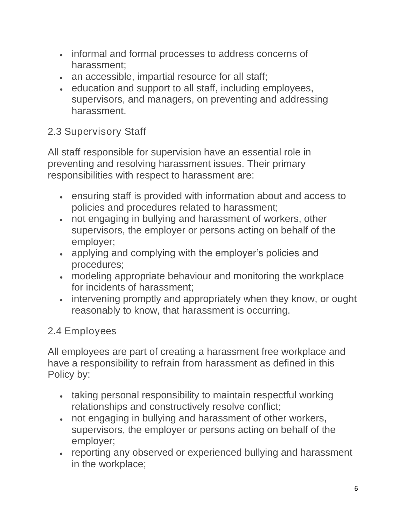- informal and formal processes to address concerns of harassment;
- an accessible, impartial resource for all staff;
- education and support to all staff, including employees, supervisors, and managers, on preventing and addressing harassment.

## 2.3 Supervisory Staff

All staff responsible for supervision have an essential role in preventing and resolving harassment issues. Their primary responsibilities with respect to harassment are:

- ensuring staff is provided with information about and access to policies and procedures related to harassment;
- not engaging in bullying and harassment of workers, other supervisors, the employer or persons acting on behalf of the employer;
- applying and complying with the employer's policies and procedures;
- modeling appropriate behaviour and monitoring the workplace for incidents of harassment;
- intervening promptly and appropriately when they know, or ought reasonably to know, that harassment is occurring.

# 2.4 Employees

All employees are part of creating a harassment free workplace and have a responsibility to refrain from harassment as defined in this Policy by:

- taking personal responsibility to maintain respectful working relationships and constructively resolve conflict;
- not engaging in bullying and harassment of other workers, supervisors, the employer or persons acting on behalf of the employer;
- reporting any observed or experienced bullying and harassment in the workplace;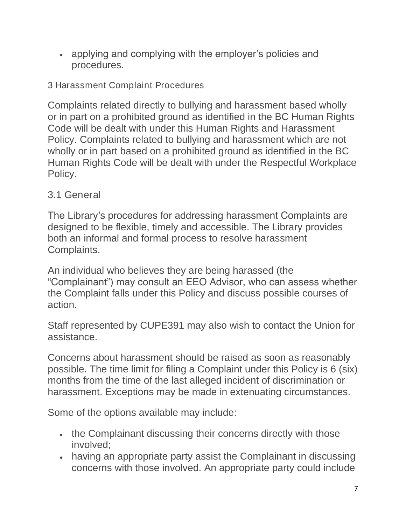• applying and complying with the employer's policies and procedures.

3 Harassment Complaint Procedures

Complaints related directly to bullying and harassment based wholly or in part on a prohibited ground as identified in the BC Human Rights Code will be dealt with under this Human Rights and Harassment Policy. Complaints related to bullying and harassment which are not wholly or in part based on a prohibited ground as identified in the BC Human Rights Code will be dealt with under the Respectful Workplace Policy.

## 3.1 General

The Library's procedures for addressing harassment Complaints are designed to be flexible, timely and accessible. The Library provides both an informal and formal process to resolve harassment Complaints.

An individual who believes they are being harassed (the "Complainant") may consult an EEO Advisor, who can assess whether the Complaint falls under this Policy and discuss possible courses of action.

Staff represented by CUPE391 may also wish to contact the Union for assistance.

Concerns about harassment should be raised as soon as reasonably possible. The time limit for filing a Complaint under this Policy is 6 (six) months from the time of the last alleged incident of discrimination or harassment. Exceptions may be made in extenuating circumstances.

Some of the options available may include:

- the Complainant discussing their concerns directly with those involved;
- having an appropriate party assist the Complainant in discussing concerns with those involved. An appropriate party could include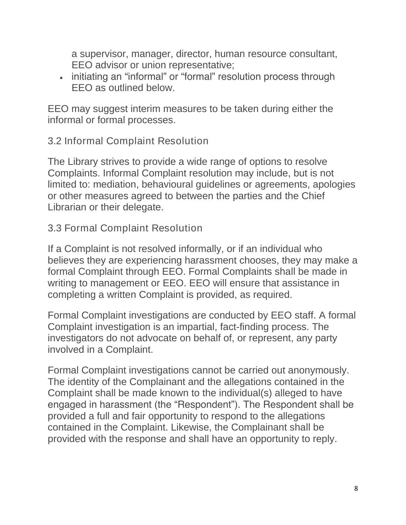a supervisor, manager, director, human resource consultant, EEO advisor or union representative;

• initiating an "informal" or "formal" resolution process through EEO as outlined below.

EEO may suggest interim measures to be taken during either the informal or formal processes.

#### 3.2 Informal Complaint Resolution

The Library strives to provide a wide range of options to resolve Complaints. Informal Complaint resolution may include, but is not limited to: mediation, behavioural guidelines or agreements, apologies or other measures agreed to between the parties and the Chief Librarian or their delegate.

#### 3.3 Formal Complaint Resolution

If a Complaint is not resolved informally, or if an individual who believes they are experiencing harassment chooses, they may make a formal Complaint through EEO. Formal Complaints shall be made in writing to management or EEO. EEO will ensure that assistance in completing a written Complaint is provided, as required.

Formal Complaint investigations are conducted by EEO staff. A formal Complaint investigation is an impartial, fact-finding process. The investigators do not advocate on behalf of, or represent, any party involved in a Complaint.

Formal Complaint investigations cannot be carried out anonymously. The identity of the Complainant and the allegations contained in the Complaint shall be made known to the individual(s) alleged to have engaged in harassment (the "Respondent"). The Respondent shall be provided a full and fair opportunity to respond to the allegations contained in the Complaint. Likewise, the Complainant shall be provided with the response and shall have an opportunity to reply.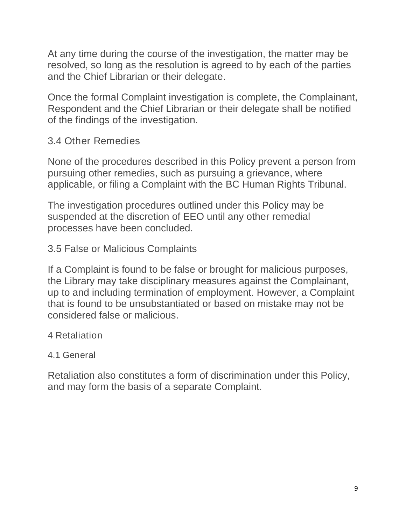At any time during the course of the investigation, the matter may be resolved, so long as the resolution is agreed to by each of the parties and the Chief Librarian or their delegate.

Once the formal Complaint investigation is complete, the Complainant, Respondent and the Chief Librarian or their delegate shall be notified of the findings of the investigation.

#### 3.4 Other Remedies

None of the procedures described in this Policy prevent a person from pursuing other remedies, such as pursuing a grievance, where applicable, or filing a Complaint with the BC Human Rights Tribunal.

The investigation procedures outlined under this Policy may be suspended at the discretion of EEO until any other remedial processes have been concluded.

3.5 False or Malicious Complaints

If a Complaint is found to be false or brought for malicious purposes, the Library may take disciplinary measures against the Complainant, up to and including termination of employment. However, a Complaint that is found to be unsubstantiated or based on mistake may not be considered false or malicious.

4 Retaliation

#### 4.1 General

Retaliation also constitutes a form of discrimination under this Policy, and may form the basis of a separate Complaint.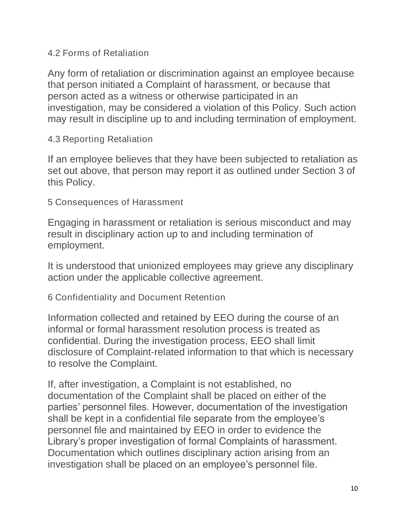4.2 Forms of Retaliation

Any form of retaliation or discrimination against an employee because that person initiated a Complaint of harassment, or because that person acted as a witness or otherwise participated in an investigation, may be considered a violation of this Policy. Such action may result in discipline up to and including termination of employment.

4.3 Reporting Retaliation

If an employee believes that they have been subjected to retaliation as set out above, that person may report it as outlined under Section 3 of this Policy.

5 Consequences of Harassment

Engaging in harassment or retaliation is serious misconduct and may result in disciplinary action up to and including termination of employment.

It is understood that unionized employees may grieve any disciplinary action under the applicable collective agreement.

6 Confidentiality and Document Retention

Information collected and retained by EEO during the course of an informal or formal harassment resolution process is treated as confidential. During the investigation process, EEO shall limit disclosure of Complaint-related information to that which is necessary to resolve the Complaint.

If, after investigation, a Complaint is not established, no documentation of the Complaint shall be placed on either of the parties' personnel files. However, documentation of the investigation shall be kept in a confidential file separate from the employee's personnel file and maintained by EEO in order to evidence the Library's proper investigation of formal Complaints of harassment. Documentation which outlines disciplinary action arising from an investigation shall be placed on an employee's personnel file.